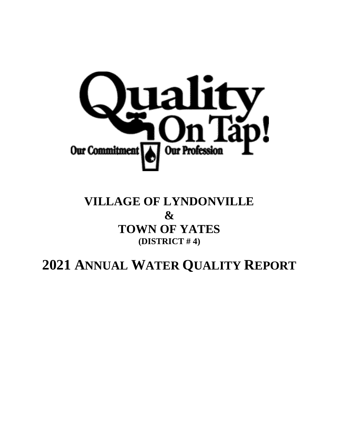

## **VILLAGE OF LYNDONVILLE & TOWN OF YATES (DISTRICT # 4)**

# **2021 ANNUAL WATER QUALITY REPORT**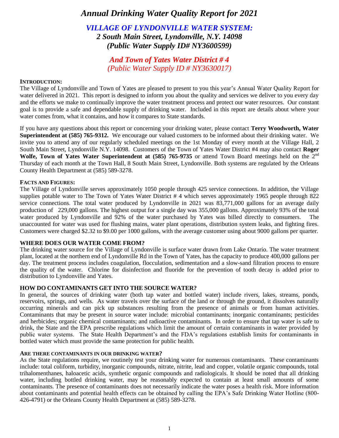### *Annual Drinking Water Quality Report for 2021*

*VILLAGE OF LYNDONVILLE WATER SYSTEM: 2 South Main Street, Lyndonville, N.Y. 14098 (Public Water Supply ID# NY3600599)* 

> *And Town of Yates Water District # 4 (Public Water Supply ID # NY3630017)*

#### **INTRODUCTION:**

The Village of Lyndonville and Town of Yates are pleased to present to you this year's Annual Water Quality Report for water delivered in 2021. This report is designed to inform you about the quality and services we deliver to you every day and the efforts we make to continually improve the water treatment process and protect our water resources. Our constant goal is to provide a safe and dependable supply of drinking water. Included in this report are details about where your water comes from, what it contains, and how it compares to State standards.

If you have any questions about this report or concerning your drinking water, please contact **Terry Woodworth, Water Superintendent at (585) 765-9312.** We encourage our valued customers to be informed about their drinking water. We invite you to attend any of our regularly scheduled meetings on the 1st Monday of every month at the Village Hall, 2 South Main Street, Lyndonville N.Y. 14098. Customers of the Town of Yates Water District #4 may also contact **Roger Wolfe, Town of Yates Water Superintendent at (585) 765-9735** or attend Town Board meetings held on the 2nd Thursday of each month at the Town Hall, 8 South Main Street, Lyndonville. Both systems are regulated by the Orleans County Health Department at (585) 589-3278.

#### **FACTS AND FIGURES:**

The Village of Lyndonville serves approximately 1050 people through 425 service connections. In addition, the Village supplies potable water to The Town of Yates Water District # 4 which serves approximately 1965 people through 822 service connections. The total water produced by Lyndonville in 2021 was 83,771,000 gallons for an average daily production of 229,000 gallons. The highest output for a single day was 355,000 gallons. Approximately 93% of the total water produced by Lyndonville and 92% of the water purchased by Yates was billed directly to consumers. The unaccounted for water was used for flushing mains, water plant operations, distribution system leaks, and fighting fires. Customers were charged \$2.32 to \$9.00 per 1000 gallons, with the average customer using about 9000 gallons per quarter.

#### **WHERE DOES OUR WATER COME FROM?**

The drinking water source for the Village of Lyndonville is surface water drawn from Lake Ontario. The water treatment plant, located at the northern end of Lyndonville Rd in the Town of Yates, has the capacity to produce 400,000 gallons per day. The treatment process includes coagulation, flocculation, sedimentation and a slow-sand filtration process to ensure the quality of the water. Chlorine for disinfection and fluoride for the prevention of tooth decay is added prior to distribution to Lyndonville and Yates.

#### **HOW DO CONTAMINANTS GET INTO THE SOURCE WATER?**

In general, the sources of drinking water (both tap water and bottled water) include rivers, lakes, streams, ponds, reservoirs, springs, and wells. As water travels over the surface of the land or through the ground, it dissolves naturally occurring minerals and can pick up substances resulting from the presence of animals or from human activities. Contaminants that may be present in source water include: microbial contaminants; inorganic contaminants; pesticides and herbicides; organic chemical contaminants; and radioactive contaminants. In order to ensure that tap water is safe to drink, the State and the EPA prescribe regulations which limit the amount of certain contaminants in water provided by public water systems. The State Health Department's and the FDA's regulations establish limits for contaminants in bottled water which must provide the same protection for public health.

#### **ARE THERE CONTAMINANTS IN OUR DRINKING WATER?**

As the State regulations require, we routinely test your drinking water for numerous contaminants. These contaminants include: total coliform, turbidity, inorganic compounds, nitrate, nitrite, lead and copper, volatile organic compounds, total trihalomenthanes, haloacetic acids, synthetic organic compounds and radiologicals. It should be noted that all drinking water, including bottled drinking water, may be reasonably expected to contain at least small amounts of some contaminants. The presence of contaminants does not necessarily indicate the water poses a health risk. More information about contaminants and potential health effects can be obtained by calling the EPA's Safe Drinking Water Hotline (800- 426-4791) or the Orleans County Health Department at (585) 589-3278.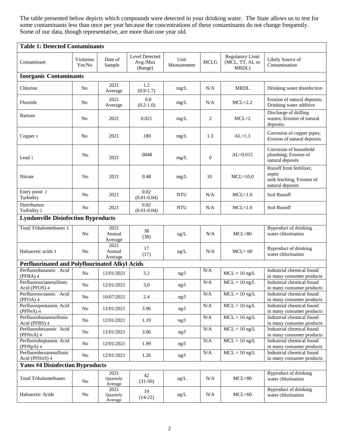The table presented below depicts which compounds were detected in your drinking water. The State allows us to test for some contaminants less than once per year because the concentrations of these contaminants do not change frequently. Some of our data, though representative, are more than one year old.

| <b>Table 1: Detected Contaminants</b>                 |                     |                              |                                       |                     |              |                                                     |                                                                                    |
|-------------------------------------------------------|---------------------|------------------------------|---------------------------------------|---------------------|--------------|-----------------------------------------------------|------------------------------------------------------------------------------------|
| Contaminant                                           | Violation<br>Yes/No | Date of<br>Sample            | Level Detected<br>Avg./Max<br>(Range) | Unit<br>Measurement | <b>MCLG</b>  | <b>Regulatory Limit</b><br>(MCL, TT, AL or<br>MRDL) | Likely Source of<br>Contamination                                                  |
| <b>Inorganic Contaminants</b>                         |                     |                              |                                       |                     |              |                                                     |                                                                                    |
| Chlorine                                              | No                  | 2021<br>Average              | 1.2<br>$(0.9-1.7)$                    | mg/L                | N/A          | <b>MRDL</b>                                         | Drinking water disinfection                                                        |
| Fluoride                                              | No                  | 2021<br>Average              | 0.8<br>$(0.2-1.0)$                    | mg/L                | N/A          | $MCL=2.2$                                           | Erosion of natural deposits;<br>Drinking water additive                            |
| Barium                                                | No                  | 2021                         | 0.021                                 | mg/L                | 2            | $MCL=2$                                             | Discharge of drilling<br>wastes; Erosion of natural<br>deposits.                   |
| Copper 1                                              | No                  | 2021                         | .180                                  | mg/L                | 1.3          | $AL=1.3$                                            | Corrosion of copper pipes;<br>Erosion of natural deposits                          |
| Lead 1                                                | N <sub>0</sub>      | 2021                         | .0048                                 | mg/L                | $\mathbf{0}$ | $AL=0.015$                                          | Corrosion of household<br>plumbing; Erosion of<br>natural deposits                 |
| Nitrate                                               | N <sub>0</sub>      | 2021                         | 0.48                                  | mg/L                | 10           | $MCL=10.0$                                          | Runoff from fertilizer,<br>septic<br>tank leaching, Erosion of<br>natural deposits |
| Entry point 2<br>Turbidity                            | N <sub>0</sub>      | 2021                         | 0.02<br>$(0.01 - 0.04)$               | <b>NTU</b>          | N/A          | $MCL=1.0$                                           | Soil Runoff                                                                        |
| Distribution<br>Turbidity 2                           | No                  | 2021                         | 0.02<br>$(0.01 - 0.04)$               | <b>NTU</b>          | N/A          | $MCL=1.0$                                           | Soil Runoff                                                                        |
| <b>Lyndonville Disinfection Byproducts</b>            |                     |                              |                                       |                     |              |                                                     |                                                                                    |
| <b>Total Trihalomethanes 3</b>                        | N <sub>o</sub>      | 2021<br>Annual<br>Average    | 38<br>(38)                            | ug/L                | N/A          | $MCL=80$                                            | <b>Byproduct of drinking</b><br>water chlorination                                 |
| Haloacetic acids 3                                    | N <sub>o</sub>      | 2021<br>Annual<br>Average    | 17<br>(17)                            | ug/L                | N/A          | $MCL = 60$                                          | Byproduct of drinking<br>water chlorination                                        |
| <b>Perfluorinated and Polyflourinated Alkyl Acids</b> |                     |                              |                                       |                     |              |                                                     |                                                                                    |
| Perfluorobutanoic Acid<br>$(PFBA)$ 4                  | N <sub>o</sub>      | 12/01/2021                   | 3.2                                   | ng/l                | N/A          | $MCL = 10$ ng/L                                     | Industrial chemical found<br>in many consumer products                             |
| Perfluorooctanesulfonic<br>Acid (PFOS) 4              | N <sub>o</sub>      | 12/01/2021                   | 3.0                                   | ng/l                | N/A          | $MCL = 10$ ng/L                                     | Industrial chemical found<br>in many consumer products                             |
| Perfluorooctanoic Acid<br>$(PFOA)$ 4                  | No                  | 10/07/2021                   | 2.4                                   | ng/l                | N/A          | $MCL = 10$ ng/L                                     | Industrial chemical found<br>in many consumer products                             |
| Perfluoropentanoic Acid<br>$(PFPeA)$ 4                | No                  | 12/01/2021                   | 3.06                                  | ng/l                | $\rm N/A$    | $MCL = 10$ ng/L                                     | Industrial chemical found<br>in many consumer products                             |
| Perfluorobutanesulfonic<br>Acid (PFBS) 4              | No                  | 12/01/2021                   | 1.19                                  | ng/l                | N/A          | $MCL = 10$ ng/L                                     | Industrial chemical found<br>in many consumer products                             |
| Perfluorohexanoic Acid<br>(PFHxA) 4                   | No                  | 12/01/2021                   | 3.06                                  | ng/l                | $\rm N/A$    | $MCL = 10$ ng/L                                     | Industrial chemical found<br>in many consumer products                             |
| Perfluoroheptanoic Acid<br>(PFHpA) 4                  | No                  | 12/01/2021                   | 1.99                                  | ng/l                | $\rm N/A$    | $MCL = 10$ ng/L                                     | Industrial chemical found<br>in many consumer products                             |
| Perfluorohexanesulfonic<br>Acid (PFHxS) 4             | No                  | 12/01/2021                   | 1.26                                  | ng/l                | $\rm N/A$    | $MCL = 10$ ng/L                                     | Industrial chemical found<br>in many consumer products                             |
| <b>Yates #4 Disinfection Byproducts</b>               |                     |                              |                                       |                     |              |                                                     |                                                                                    |
| <b>Total Trihalomethanes</b>                          | N <sub>0</sub>      | 2021<br>Quarterly<br>Average | 42<br>$(31-50)$                       | ug/L                | N/A          | $MCL=80$                                            | Byproduct of drinking<br>water chlorination                                        |
| Haloacetic Acids                                      | No                  | 2021<br>Quarterly<br>Average | 19<br>$(14-22)$                       | ug/L                | N/A          | $MCL=60$                                            | <b>Byproduct of drinking</b><br>water chlorination                                 |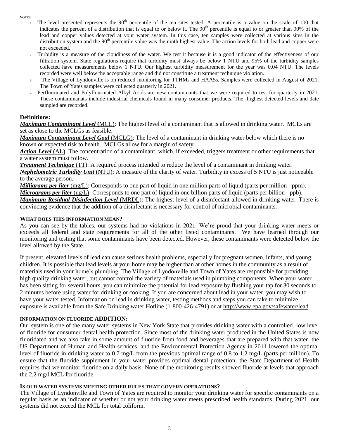<span id="page-3-0"></span>NOTES:

- 1. The level presented represents the  $90<sup>th</sup>$  percentile of the ten sites tested. A percentile is a value on the scale of 100 that indicates the percent of a distribution that is equal to or below it. The 90<sup>th</sup> percentile is equal to or greater than 90% of the lead and copper values detected at your water system. In this case, ten samples were collected at various sites in the distribution system and the  $90<sup>th</sup>$  percentile value was the ninth highest value. The action levels for both lead and copper were not exceeded.
- <span id="page-3-1"></span>2. Turbidity is a measure of the cloudiness of the water. We test it because it is a good indicator of the effectiveness of our filtration system. State regulations require that turbidity must always be below 1 NTU and 95% of the turbidity samples collected have measurements below 1 NTU. Our highest turbidity measurement for the year was 0.04 NTU. The levels recorded were well below the acceptable range and did not constitute a treatment technique violation.
- <span id="page-3-2"></span>3. The Village of Lyndonville is on reduced monitoring for TTHMs and HAA5s. Samples were collected in August of 2021. The Town of Yates samples were collected quarterly in 2021.
- <span id="page-3-3"></span>4. Perfluorinated and Polyflourinated Alkyl Acids are new contaminants that we were required to test for quarterly in 2021. These contaminanats include industrial chemicals found in many consumer products. The highest detected levels and date sampled are recorded.

#### **Definitions:**

*Maximum Contaminant Level* **(**MCL): The highest level of a contaminant that is allowed in drinking water. MCLs are set as close to the MCLGs as feasible.

*Maximum Contaminant Level Goal* (MCLG): The level of a contaminant in drinking water below which there is no known or expected risk to health. MCLGs allow for a margin of safety.

*Action Level* **(**AL): The concentration of a contaminant, which, if exceeded, triggers treatment or other requirements that a water system must follow.

*Treatment Technique* (TT): A required process intended to reduce the level of a contaminant in drinking water.

*Nephelometric Turbidity Unit* (NTU): A measure of the clarity of water. Turbidity in excess of 5 NTU is just noticeable to the average person.

*Milligrams per liter* (mg/L): Corresponds to one part of liquid in one million parts of liquid (parts per million - ppm). *Micrograms per liter* (ug/L): Corresponds to one part of liquid in one billion parts of liquid (parts per billion - ppb).

*Maximum Residual Disinfection Level* (MRDL): The highest level of a disinfectant allowed in drinking water. There is convincing evidence that the addition of a disinfectant is necessary for control of microbial contaminants.

#### **WHAT DOES THIS INFORMATION MEAN?**

As you can see by the tables, our systems had no violations in 2021. We're proud that your drinking water meets or exceeds all federal and state requirements for all of the other listed contaminants. We have learned through our monitoring and testing that some contaminants have been detected. However, these contaminants were detected below the level allowed by the State.

If present, elevated levels of lead can cause serious health problems, especially for pregnant women, infants, and young children. It is possible that lead levels at your home may be higher than at other homes in the community as a result of materials used in your home's plumbing. The Village of Lyndonville and Town of Yates are responsible for providing high quality drinking water, but cannot control the variety of materials used in plumbing components. When your water has been sitting for several hours, you can minimize the potential for lead exposure by flushing your tap for 30 seconds to 2 minutes before using water for drinking or cooking. If you are concerned about lead in your water, you may wish to have your water tested. Information on lead in drinking water, testing methods and steps you can take to minimize exposure is available from the Safe Drinking water Hotline (1-800-426-4791) or at http://www.epa.gov/safewater/lead.

#### **INFORMATION ON FLUORIDE ADDITION:**

Our system is one of the many water systems in New York State that provides drinking water with a controlled, low level of fluoride for consumer dental health protection. Since most of the drinking water produced in the United States is now fluoridated and we also take in some amount of fluoride from food and beverages that are prepared with that water, the US Department of Human and Health services, and the Environmental Protection Agency in 2011 lowered the optimal level of fluoride in drinking water to 0.7 mg/L from the previous optimal range of 0.8 to 1.2 mg/L (parts per million). To ensure that the fluoride supplement in your water provides optimal dental protection, the State Department of Health requires that we monitor fluoride on a daily basis. None of the monitoring results showed fluoride at levels that approach the 2.2 mg/l MCL for fluoride.

#### **IS OUR WATER SYSTEMS MEETING OTHER RULES THAT GOVERN OPERATIONS?**

The Village of Lyndonville and Town of Yates are required to monitor your drinking water for specific contaminants on a regular basis as an indicator of whether or not your drinking water meets prescribed health standards. During 2021, our systems did not exceed the MCL for total coliform.